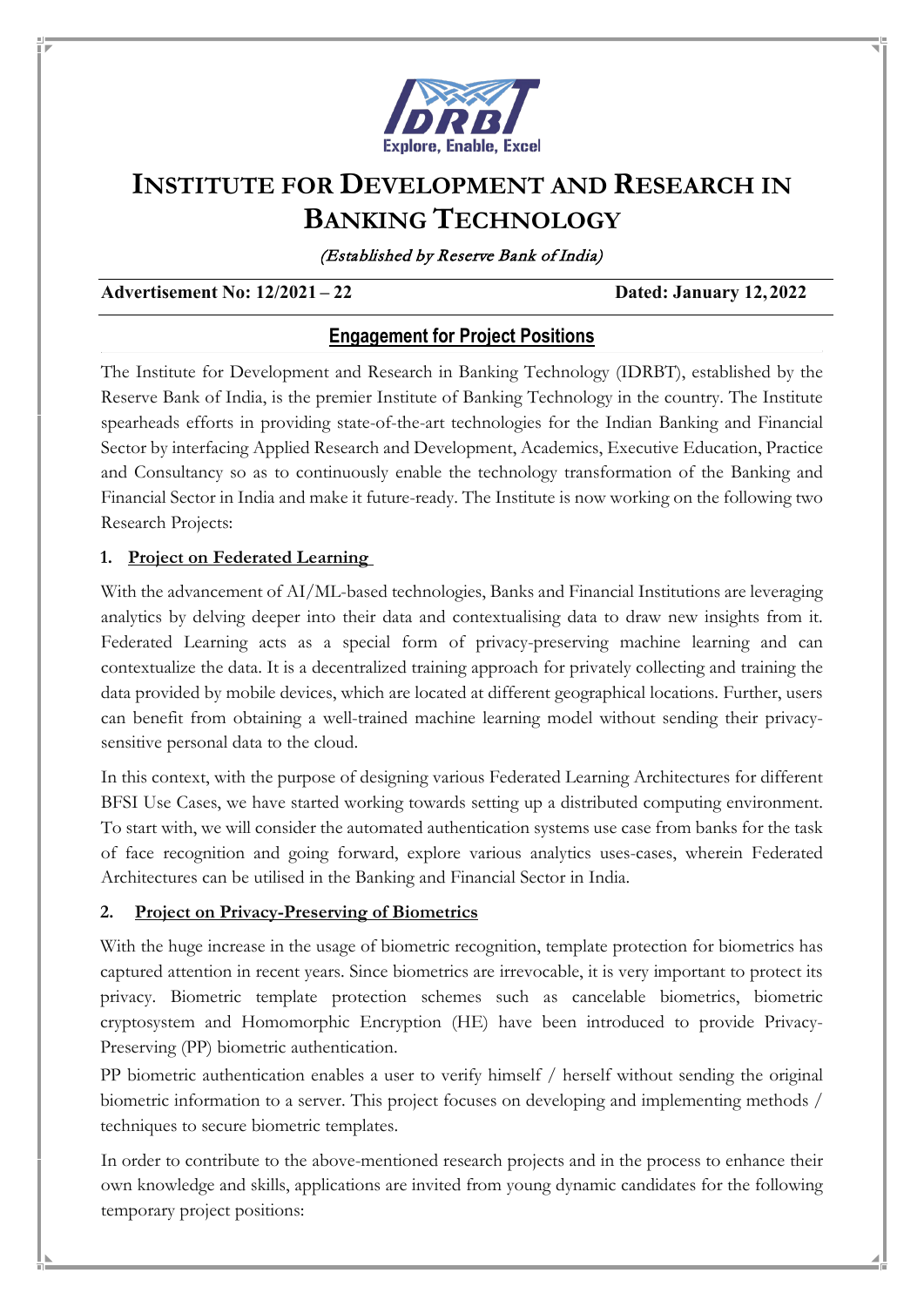

# **INSTITUTE FOR DEVELOPMENT AND RESEARCH IN BANKING TECHNOLOGY**

(Established by Reserve Bank of India)

#### **Advertisement No: 12/2021 – 22 Dated: January 12, 2022**

# **Engagement for Project Positions**

The Institute for Development and Research in Banking Technology (IDRBT), established by the Reserve Bank of India, is the premier Institute of Banking Technology in the country. The Institute spearheads efforts in providing state-of-the-art technologies for the Indian Banking and Financial Sector by interfacing Applied Research and Development, Academics, Executive Education, Practice and Consultancy so as to continuously enable the technology transformation of the Banking and Financial Sector in India and make it future-ready. The Institute is now working on the following two Research Projects:

### **1. Project on Federated Learning**

With the advancement of AI/ML-based technologies, Banks and Financial Institutions are leveraging analytics by delving deeper into their data and contextualising data to draw new insights from it. Federated Learning acts as a special form of privacy-preserving machine learning and can contextualize the data. It is a decentralized training approach for privately collecting and training the data provided by mobile devices, which are located at different geographical locations. Further, users can benefit from obtaining a well-trained machine learning model without sending their privacysensitive personal data to the cloud.

In this context, with the purpose of designing various Federated Learning Architectures for different BFSI Use Cases, we have started working towards setting up a distributed computing environment. To start with, we will consider the automated authentication systems use case from banks for the task of face recognition and going forward, explore various analytics uses-cases, wherein Federated Architectures can be utilised in the Banking and Financial Sector in India.

### **2. Project on Privacy-Preserving of Biometrics**

With the huge increase in the usage of biometric recognition, template protection for biometrics has captured attention in recent years. Since biometrics are irrevocable, it is very important to protect its privacy. Biometric template protection schemes such as cancelable biometrics, biometric cryptosystem and Homomorphic Encryption (HE) have been introduced to provide Privacy-Preserving (PP) biometric authentication.

PP biometric authentication enables a user to verify himself / herself without sending the original biometric information to a server. This project focuses on developing and implementing methods / techniques to secure biometric templates.

In order to contribute to the above-mentioned research projects and in the process to enhance their own knowledge and skills, applications are invited from young dynamic candidates for the following temporary project positions: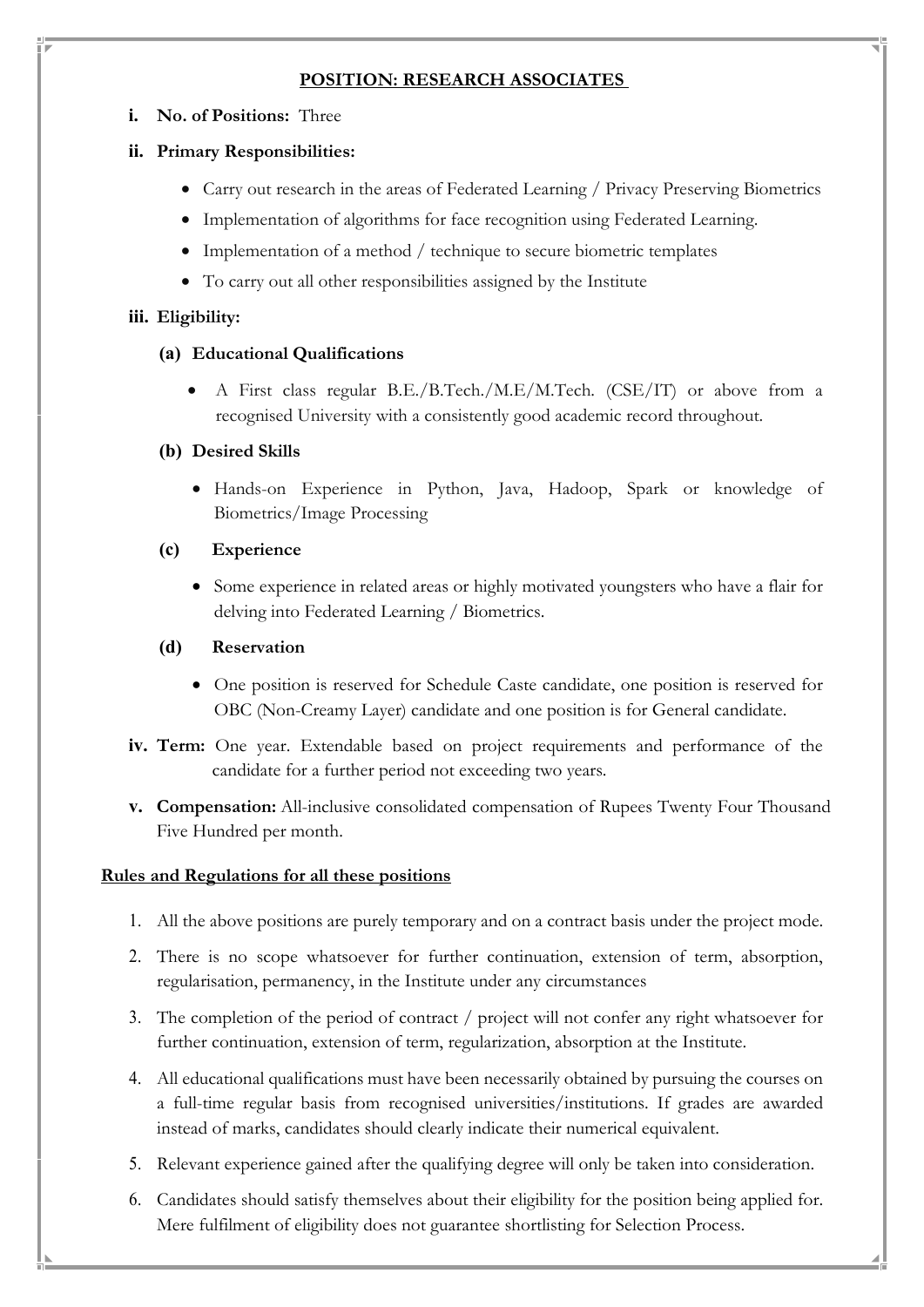## **POSITION: RESEARCH ASSOCIATES**

**i. No. of Positions:** Three

# **ii. Primary Responsibilities:**

- Carry out research in the areas of Federated Learning / Privacy Preserving Biometrics
- Implementation of algorithms for face recognition using Federated Learning.
- Implementation of a method / technique to secure biometric templates
- To carry out all other responsibilities assigned by the Institute

## **iii. Eligibility:**

# **(a) Educational Qualifications**

• A First class regular B.E./B.Tech./M.E/M.Tech. (CSE/IT) or above from a recognised University with a consistently good academic record throughout.

# **(b) Desired Skills**

• Hands-on Experience in Python, Java, Hadoop, Spark or knowledge of Biometrics/Image Processing

# **(c) Experience**

• Some experience in related areas or highly motivated youngsters who have a flair for delving into Federated Learning / Biometrics.

# **(d) Reservation**

- One position is reserved for Schedule Caste candidate, one position is reserved for OBC (Non-Creamy Layer) candidate and one position is for General candidate.
- **iv. Term:** One year. Extendable based on project requirements and performance of the candidate for a further period not exceeding two years.
- **v. Compensation:** All-inclusive consolidated compensation of Rupees Twenty Four Thousand Five Hundred per month.

### **Rules and Regulations for all these positions**

- 1. All the above positions are purely temporary and on a contract basis under the project mode.
- 2. There is no scope whatsoever for further continuation, extension of term, absorption, regularisation, permanency, in the Institute under any circumstances
- 3. The completion of the period of contract / project will not confer any right whatsoever for further continuation, extension of term, regularization, absorption at the Institute.
- 4. All educational qualifications must have been necessarily obtained by pursuing the courses on a full-time regular basis from recognised universities/institutions. If grades are awarded instead of marks, candidates should clearly indicate their numerical equivalent.
- 5. Relevant experience gained after the qualifying degree will only be taken into consideration.
- 6. Candidates should satisfy themselves about their eligibility for the position being applied for. Mere fulfilment of eligibility does not guarantee shortlisting for Selection Process.